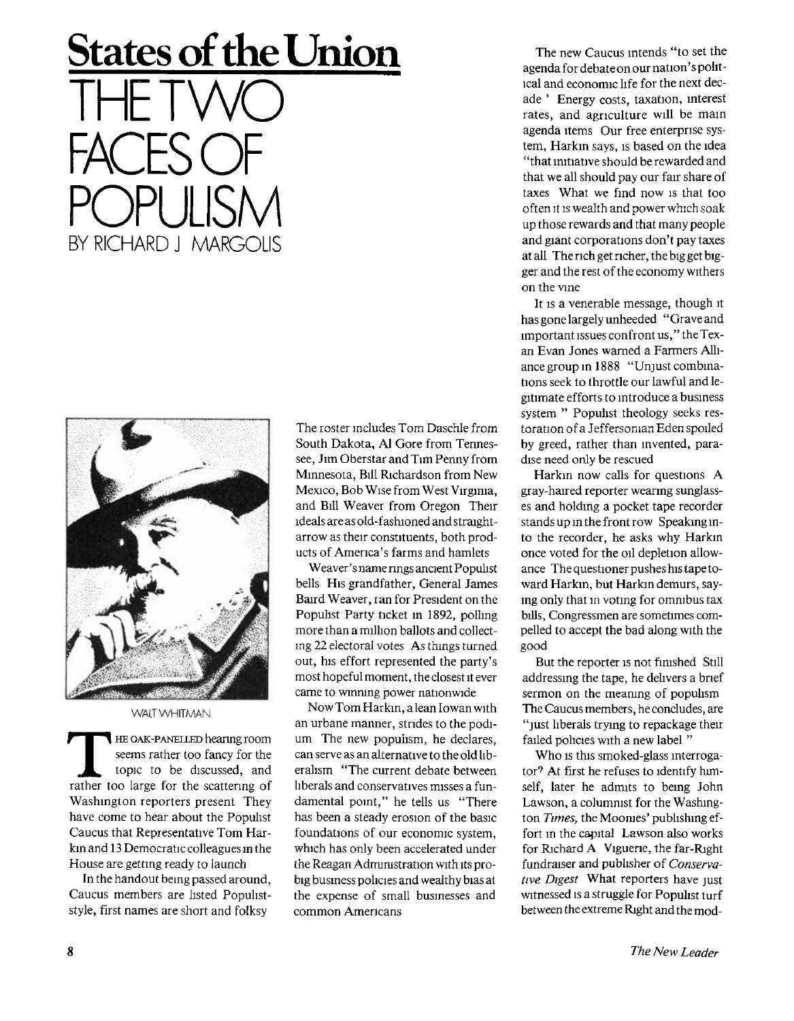## **States of the Union**

THE TWO FACES OF POPULISM BY RICHARD J MARGOLIS



**WALT WHITMAN** 

**THE OAK-PANELLED hearing room**<br>seems rather too fancy for the<br>topic to be discussed, and<br>rather too large for the scattering of **HE OAK-PANELLED** hearing room seems rather too fancy for the topic to be discussed, and Washington reporters present They have come to hear about the Populist Caucus that Representative Tom Harkin and 13 Democratic colleagues in the House are getting ready to launch

In the handout being passed around, Caucus members are listed Popuhststyle, first names are short and folksy

The roster includes Tom Daschle from South Dakota, Al Gore from Tennessee, Jim Oberstar and Tim Penny from Minnesota, Bill Richardson from New Mexico, Bob Wise from West Virginia, and Bill Weaver from Oregon Their ideals are as old-fashioned and straightarrow as their constituents, both products of America's farms and hamlets

Weaver's name nngs ancient Populist bells His grandfather, General James Baird Weaver, ran for President on the Populist Party ticket in 1892, polling more than a million ballots and collecting 22 electoral votes As things turned out, his effort represented the party's most hopeful moment, the closest it ever came to winning power nationwide

Now Tom Harkin, a lean Iowan with an urbane manner, strides to the podium The new populism, he declares, can serve as an alternative to the old liberalism "The current debate between liberals and conservatives misses a fundamental point," he tells us "There has been a steady erosion of the basic foundations of our economic system, which has only been accelerated under the Reagan Administration with its probig business policies and wealthy bias at the expense of small businesses and common Americans

The new Caucus intends "to set the agenda for debate on our nation' s pohtlcal and economic life for the next decade ' Energy costs, taxation, interest rates, and agriculture will be main agenda items Our free enterprise system, Harkin says, is based on the idea "that initiative should be rewarded and that we all should pay our fair share of taxes What we find now is that too often it is wealth and power which soak up those rewards and that many people and giant corporations don't pay taxes at all The rich get richer, the big get bigger and the rest of the economy withers on the vine

It is a venerable message, though it has gone largely unheeded "Grave and important issues confront us,"the Texan Evan Jones warned a Farmers Alliance group in **1**888 "Unjust combinations seek to throttle our lawful and legitimate efforts to introduce a business system " Populist theology seeks restoration of a Jeffersonian Eden spoiled by greed, rather than invented, paradise need only be rescued

Harkin now calls for questions A gray-haired reporter wearing sunglasses and holding a pocket tape recorder stands up in the front row Speaking into the recorder, he asks why Harkin once voted for the oil depletion allowance The questioner pushes his tape toward Harkin, but Harkin demurs, saying only that in voting for omnibus tax bills, Congressmen are sometimes compelled to accept the bad along with the good

But the reporter is not finished Still addressing the tape, he delivers a brief sermon on the meaning of populism The Caucus members, he concludes, are "just liberals trying to repackage their failed policies with a new label "

Who is this smoked-glass interrogator? At first he refuses to identify himself, later he admits to being John Lawson, a columnist for the Washington *Times,* the Moonies' publishing effort in the capital Lawson also works for Richard A Viguene, the far-Right fundraiser and publisher of *Conservative Digest* What reporters have just witnessed is a struggle for Populist turf between the extreme Right and the mod